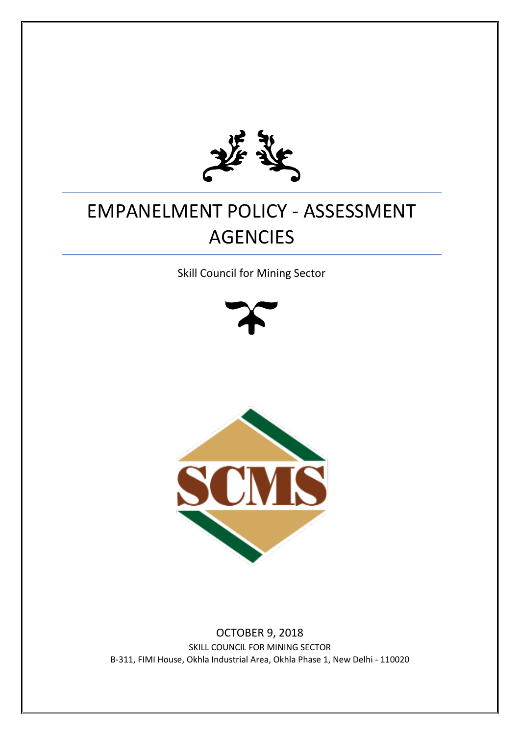

# EMPANELMENT POLICY - ASSESSMENT AGENCIES

Skill Council for Mining Sector





OCTOBER 9, 2018 SKILL COUNCIL FOR MINING SECTOR B-311, FIMI House, Okhla Industrial Area, Okhla Phase 1, New Delhi - 110020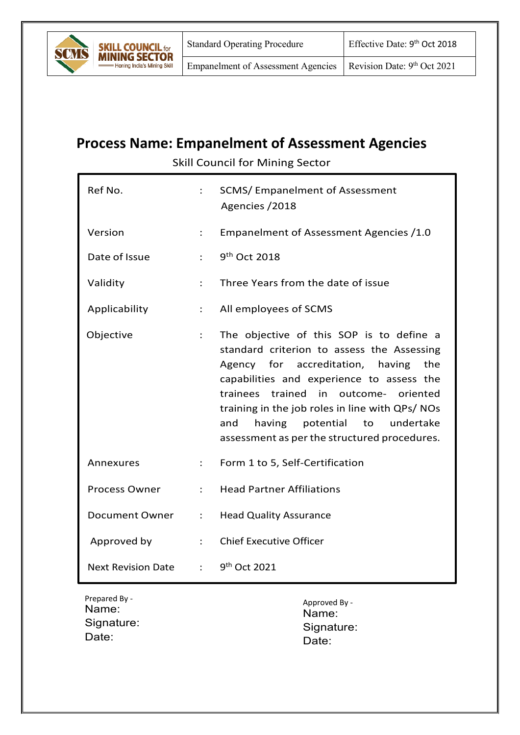

# **Process Name: Empanelment of Assessment Agencies**

Skill Council for Mining Sector

| Ref No.                   | ÷                    | SCMS/Empanelment of Assessment<br>Agencies / 2018                                                                                                                                                                                                                                                                                                                                   |
|---------------------------|----------------------|-------------------------------------------------------------------------------------------------------------------------------------------------------------------------------------------------------------------------------------------------------------------------------------------------------------------------------------------------------------------------------------|
| Version                   | $\ddot{\phantom{a}}$ | Empanelment of Assessment Agencies /1.0                                                                                                                                                                                                                                                                                                                                             |
| Date of Issue             | $\ddot{\cdot}$       | 9 <sup>th</sup> Oct 2018                                                                                                                                                                                                                                                                                                                                                            |
| Validity                  | $\ddot{\phantom{a}}$ | Three Years from the date of issue                                                                                                                                                                                                                                                                                                                                                  |
| Applicability             | $\ddot{\cdot}$       | All employees of SCMS                                                                                                                                                                                                                                                                                                                                                               |
| Objective                 | $\ddot{\phantom{a}}$ | The objective of this SOP is to define a<br>standard criterion to assess the Assessing<br>Agency for accreditation, having<br>the<br>capabilities and experience to assess the<br>trained<br>trainees<br>in<br>outcome-<br>oriented<br>training in the job roles in line with QPs/NOs<br>having potential<br>to<br>undertake<br>and<br>assessment as per the structured procedures. |
| Annexures                 | $\ddot{\phantom{a}}$ | Form 1 to 5, Self-Certification                                                                                                                                                                                                                                                                                                                                                     |
| <b>Process Owner</b>      | $\ddot{\phantom{a}}$ | <b>Head Partner Affiliations</b>                                                                                                                                                                                                                                                                                                                                                    |
| <b>Document Owner</b>     | $\ddot{\cdot}$       | <b>Head Quality Assurance</b>                                                                                                                                                                                                                                                                                                                                                       |
| Approved by               | $\ddot{\phantom{a}}$ | <b>Chief Executive Officer</b>                                                                                                                                                                                                                                                                                                                                                      |
| <b>Next Revision Date</b> | ÷                    | 9 <sup>th</sup> Oct 2021                                                                                                                                                                                                                                                                                                                                                            |

Prepared By - Name: Signature: Date:

Approved By - Name: Signature: Date: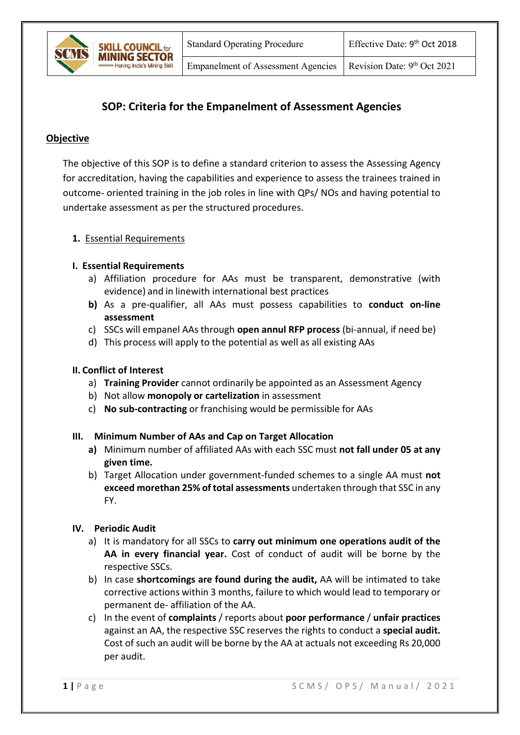Empanelment of Assessment Agencies | Revision Date:  $9<sup>th</sup>$  Oct 2021

# **SOP: Criteria for the Empanelment of Assessment Agencies**

# **Objective**

The objective of this SOP is to define a standard criterion to assess the Assessing Agency for accreditation, having the capabilities and experience to assess the trainees trained in outcome- oriented training in the job roles in line with QPs/ NOs and having potential to undertake assessment as per the structured procedures.

#### **1.** Essential Requirements

**SKILL COUNCIL for MINING SECTOR Joning India's Mining Skill** 

#### **I. Essential Requirements**

- a) Affiliation procedure for AAs must be transparent, demonstrative (with evidence) and in linewith international best practices
- **b)** As a pre-qualifier, all AAs must possess capabilities to **conduct on-line assessment**
- c) SSCs will empanel AAs through **open annul RFP process** (bi-annual, if need be)
- d) This process will apply to the potential as well as all existing AAs

#### **II. Conflict of Interest**

- a) **Training Provider** cannot ordinarily be appointed as an Assessment Agency
- b) Not allow **monopoly or cartelization** in assessment
- c) **No sub-contracting** or franchising would be permissible for AAs

#### **III. Minimum Number of AAs and Cap on Target Allocation**

- **a)** Minimum number of affiliated AAs with each SSC must **not fall under 05 at any given time.**
- b) Target Allocation under government-funded schemes to a single AA must **not exceed morethan 25% of total assessments** undertaken through that SSC in any FY.

#### **IV. Periodic Audit**

- a) It is mandatory for all SSCs to **carry out minimum one operations audit of the AA in every financial year.** Cost of conduct of audit will be borne by the respective SSCs.
- b) In case **shortcomings are found during the audit,** AA will be intimated to take corrective actions within 3 months, failure to which would lead to temporary or permanent de- affiliation of the AA.
- c) In the event of **complaints** / reports about **poor performance** / **unfair practices**  against an AA, the respective SSC reserves the rights to conduct a **special audit.**  Cost of such an audit will be borne by the AA at actuals not exceeding Rs 20,000 per audit.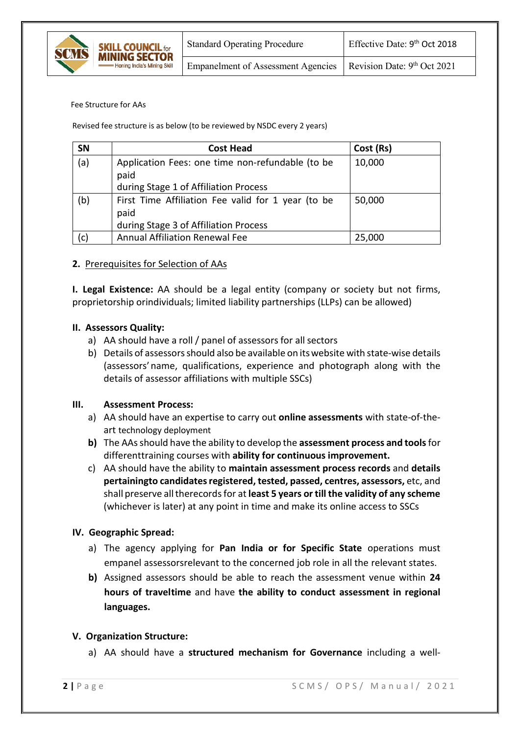

#### Fee Structure for AAs

Revised fee structure is as below (to be reviewed by NSDC every 2 years)

| <b>SN</b> | <b>Cost Head</b>                                                                                    | Cost (Rs) |
|-----------|-----------------------------------------------------------------------------------------------------|-----------|
| (a)       | Application Fees: one time non-refundable (to be<br>paid<br>during Stage 1 of Affiliation Process   | 10,000    |
| (b)       | First Time Affiliation Fee valid for 1 year (to be<br>paid<br>during Stage 3 of Affiliation Process | 50,000    |
| (c)       | <b>Annual Affiliation Renewal Fee</b>                                                               | 25,000    |

#### **2.** Prerequisites for Selection of AAs

**I. Legal Existence:** AA should be a legal entity (company or society but not firms, proprietorship orindividuals; limited liability partnerships (LLPs) can be allowed)

#### **II. Assessors Quality:**

- a) AA should have a roll / panel of assessors for all sectors
- b) Details of assessorsshould also be available on itswebsite with state-wise details (assessors'name, qualifications, experience and photograph along with the details of assessor affiliations with multiple SSCs)

#### **III. Assessment Process:**

- a) AA should have an expertise to carry out **online assessments** with state-of-theart technology deployment
- **b)** The AAsshould have the ability to develop the **assessment process and tools**for differenttraining courses with **ability for continuous improvement.**
- c) AA should have the ability to **maintain assessment process records** and **details pertainingto candidatesregistered, tested, passed, centres, assessors,** etc, and shall preserve alltherecords for at **least 5 years or till the validity of any scheme**  (whichever is later) at any point in time and make its online access to SSCs

#### **IV. Geographic Spread:**

- a) The agency applying for **Pan India or for Specific State** operations must empanel assessorsrelevant to the concerned job role in all the relevant states.
- **b)** Assigned assessors should be able to reach the assessment venue within **24 hours of traveltime** and have **the ability to conduct assessment in regional languages.**

#### **V. Organization Structure:**

a) AA should have a **structured mechanism for Governance** including a well-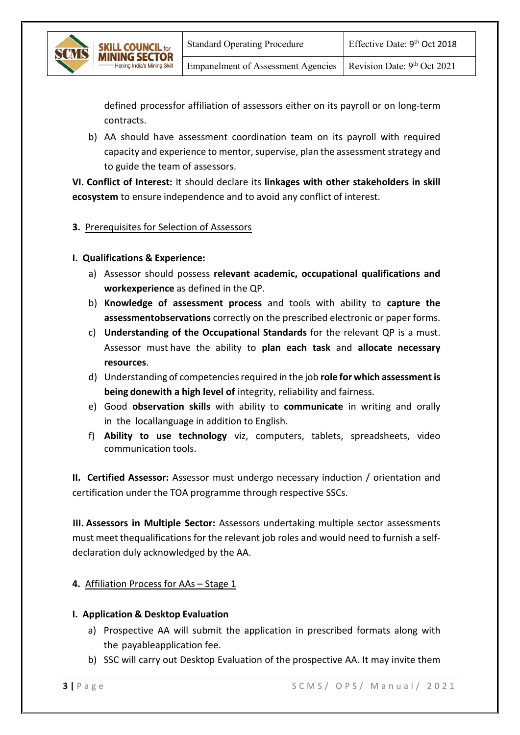Empanelment of Assessment Agencies | Revision Date: 9th Oct 2021

defined processfor affiliation of assessors either on its payroll or on long-term contracts.

b) AA should have assessment coordination team on its payroll with required capacity and experience to mentor, supervise, plan the assessment strategy and to guide the team of assessors.

**VI. Conflict of Interest:** It should declare its **linkages with other stakeholders in skill ecosystem** to ensure independence and to avoid any conflict of interest.

## **3.** Prerequisites for Selection of Assessors

**I. Qualifications & Experience:**

**MINING SECTOR** 

- a) Assessor should possess **relevant academic, occupational qualifications and workexperience** as defined in the QP.
- b) **Knowledge of assessment process** and tools with ability to **capture the assessmentobservations** correctly on the prescribed electronic or paper forms.
- c) **Understanding of the Occupational Standards** for the relevant QP is a must. Assessor must have the ability to **plan each task** and **allocate necessary resources**.
- d) Understanding of competenciesrequired in the job **role for which assessment is being donewith a high level of** integrity, reliability and fairness.
- e) Good **observation skills** with ability to **communicate** in writing and orally in the locallanguage in addition to English.
- f) **Ability to use technology** viz, computers, tablets, spreadsheets, video communication tools.

**II. Certified Assessor:** Assessor must undergo necessary induction / orientation and certification under the TOA programme through respective SSCs.

**III. Assessors in Multiple Sector:** Assessors undertaking multiple sector assessments must meet thequalifications for the relevant job roles and would need to furnish a selfdeclaration duly acknowledged by the AA.

#### **4.** Affiliation Process for AAs – Stage 1

#### **I. Application & Desktop Evaluation**

- a) Prospective AA will submit the application in prescribed formats along with the payableapplication fee.
- b) SSC will carry out Desktop Evaluation of the prospective AA. It may invite them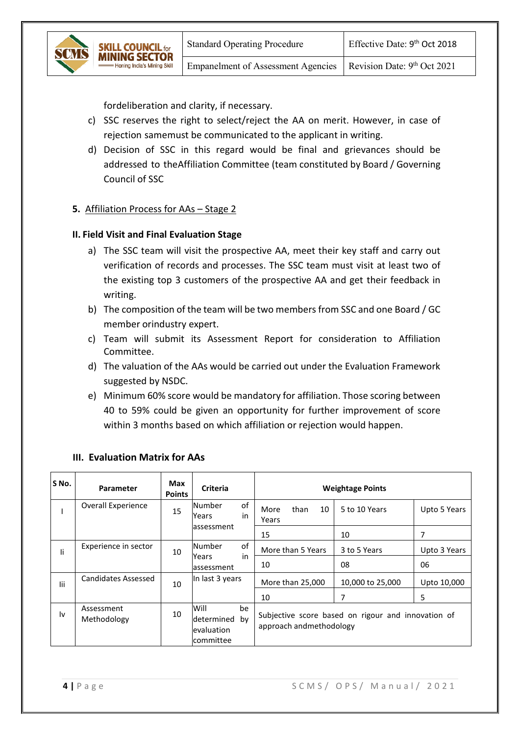fordeliberation and clarity, if necessary.

- c) SSC reserves the right to select/reject the AA on merit. However, in case of rejection samemust be communicated to the applicant in writing.
- d) Decision of SSC in this regard would be final and grievances should be addressed to theAffiliation Committee (team constituted by Board / Governing Council of SSC

#### **5.** Affiliation Process for AAs – Stage 2

**L COUNCIL for MINING SECTOR** oning India's Mining Skill

#### **II. Field Visit and Final Evaluation Stage**

- a) The SSC team will visit the prospective AA, meet their key staff and carry out verification of records and processes. The SSC team must visit at least two of the existing top 3 customers of the prospective AA and get their feedback in writing.
- b) The composition of the team will be two members from SSC and one Board / GC member orindustry expert.
- c) Team will submit its Assessment Report for consideration to Affiliation Committee.
- d) The valuation of the AAs would be carried out under the Evaluation Framework suggested by NSDC.
- e) Minimum 60% score would be mandatory for affiliation. Those scoring between 40 to 59% could be given an opportunity for further improvement of score within 3 months based on which affiliation or rejection would happen.

| S No. | <b>Parameter</b>          | Max<br><b>Points</b> | <b>Criteria</b>                               |          | <b>Weightage Points</b> |      |    |                                                    |              |
|-------|---------------------------|----------------------|-----------------------------------------------|----------|-------------------------|------|----|----------------------------------------------------|--------------|
|       | Overall Experience        | 15                   | Number<br>Years                               | of<br>in | More<br>Years           | than | 10 | 5 to 10 Years                                      | Upto 5 Years |
|       |                           |                      | assessment                                    |          | 15                      |      |    | 10                                                 | 7            |
| li    | Experience in sector      | 10                   | Number<br>Years                               | of<br>in | More than 5 Years       |      |    | 3 to 5 Years                                       | Upto 3 Years |
|       |                           |                      | assessment                                    |          | 10                      |      |    | 08                                                 | 06           |
| lii   | Candidates Assessed       | 10                   | In last 3 years                               |          | More than 25,000        |      |    | 10,000 to 25,000                                   | Upto 10,000  |
|       |                           |                      |                                               |          | 10                      |      |    | 7                                                  | 5            |
| l٧    | Assessment<br>Methodology | 10                   | Will<br>determined<br>evaluation<br>committee | be<br>bv | approach andmethodology |      |    | Subjective score based on rigour and innovation of |              |

# **III. Evaluation Matrix for AAs**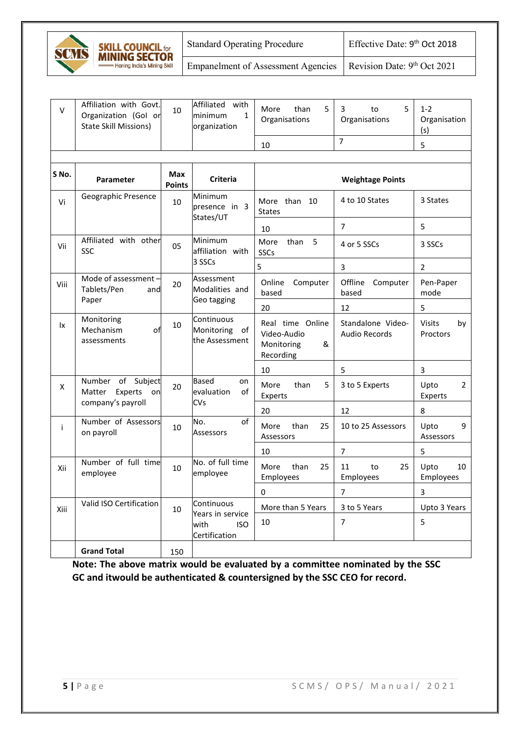

**SKILL COUNCIL for MINING SECTOR** 

Empanelment of Assessment Agencies Revision Date:  $9<sup>th</sup> Oct 2021$ 

| V     | Affiliation with Govt.<br>Organization (Gol or<br><b>State Skill Missions)</b> | 10                   | Affiliated with<br>minimum<br>$\mathbf{1}$<br>organization | than<br>5<br>More<br>Organisations                              | 3<br>5<br>to<br>Organisations      | $1 - 2$<br>Organisation<br>(s)    |
|-------|--------------------------------------------------------------------------------|----------------------|------------------------------------------------------------|-----------------------------------------------------------------|------------------------------------|-----------------------------------|
|       |                                                                                |                      |                                                            | 10                                                              | $\overline{7}$                     | 5                                 |
|       |                                                                                |                      |                                                            |                                                                 |                                    |                                   |
| S No. | Parameter                                                                      | Max<br><b>Points</b> | <b>Criteria</b>                                            |                                                                 | <b>Weightage Points</b>            |                                   |
| Vi    | Geographic Presence                                                            | 10                   | Minimum<br>presence in 3<br>States/UT                      | More than 10<br><b>States</b>                                   | 4 to 10 States                     | 3 States                          |
|       |                                                                                |                      |                                                            | 10                                                              | $\overline{7}$                     | 5                                 |
| Vii   | Affiliated with other<br>SSC                                                   | 05                   | Minimum<br>affiliation with                                | More<br>than<br>5<br>SSCs                                       | 4 or 5 SSCs                        | 3 SSCs                            |
|       |                                                                                |                      | 3 SSCs                                                     | 5                                                               | 3                                  | $\overline{2}$                    |
| Viii  | Mode of assessment -<br>Tablets/Pen<br>and                                     | 20                   | Assessment<br>Modalities and                               | Online<br>Computer<br>based                                     | Offline<br>Computer<br>based       | Pen-Paper<br>mode                 |
|       | Paper                                                                          |                      | Geo tagging                                                | 20                                                              | 12                                 | 5                                 |
| lχ    | Monitoring<br>Mechanism<br>of<br>assessments                                   | 10                   | Continuous<br>Monitoring<br>of<br>the Assessment           | Real time Online<br>Video-Audio<br>&<br>Monitoring<br>Recording | Standalone Video-<br>Audio Records | <b>Visits</b><br>by<br>Proctors   |
|       |                                                                                |                      |                                                            | 10                                                              | 5                                  | 3                                 |
| X     | Number of Subject<br>Matter<br>Experts<br>on<br>company's payroll              | 20                   | <b>Based</b><br>on<br>of<br>evaluation<br><b>CVs</b>       | More<br>than<br>5<br>Experts                                    | 3 to 5 Experts                     | Upto<br>$\overline{2}$<br>Experts |
|       |                                                                                |                      |                                                            | 20                                                              | 12                                 | 8                                 |
| i.    | Number of Assessors<br>on payroll                                              | 10                   | No.<br>of<br>Assessors                                     | More<br>than<br>25<br>Assessors                                 | 10 to 25 Assessors                 | Upto<br>9<br>Assessors            |
|       |                                                                                |                      |                                                            | 10                                                              | 7                                  | 5                                 |
| Xii   | Number of full time<br>employee                                                | 10                   | No. of full time<br>employee                               | More<br>than<br>25<br>Employees                                 | 11<br>to<br>25<br>Employees        | Upto<br>10<br>Employees           |
|       |                                                                                |                      |                                                            | 0                                                               | 7                                  | 3                                 |
| Xiii  | Valid ISO Certification                                                        | 10                   | Continuous<br>Years in service                             | More than 5 Years                                               | 3 to 5 Years                       | Upto 3 Years                      |
|       |                                                                                |                      | with<br><b>ISO</b><br>Certification                        | 10                                                              | $\overline{7}$                     | 5                                 |
|       | <b>Grand Total</b>                                                             | 150                  |                                                            |                                                                 |                                    |                                   |

**Note: The above matrix would be evaluated by a committee nominated by the SSC GC and itwould be authenticated & countersigned by the SSC CEO for record.**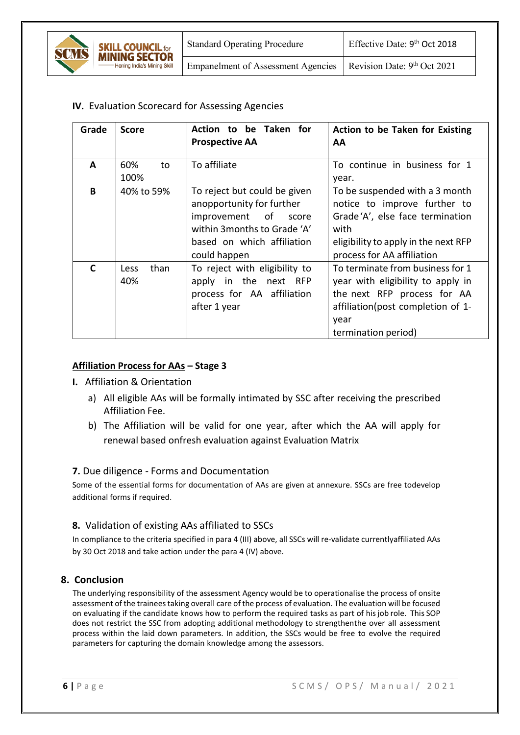

**IV.** Evaluation Scorecard for Assessing Agencies

| Grade        | <b>Score</b>        | Action to be Taken for<br><b>Prospective AA</b>                                                                                                                    | Action to be Taken for Existing<br>AA                                                                                                                                           |
|--------------|---------------------|--------------------------------------------------------------------------------------------------------------------------------------------------------------------|---------------------------------------------------------------------------------------------------------------------------------------------------------------------------------|
| A            | 60%<br>to<br>100%   | To affiliate                                                                                                                                                       | To continue in business for 1<br>year.                                                                                                                                          |
| B            | 40% to 59%          | To reject but could be given<br>anopportunity for further<br>improvement of<br>score<br>within 3 months to Grade 'A'<br>based on which affiliation<br>could happen | To be suspended with a 3 month<br>notice to improve further to<br>Grade'A', else face termination<br>with<br>eligibility to apply in the next RFP<br>process for AA affiliation |
| $\mathsf{C}$ | than<br>Less<br>40% | To reject with eligibility to<br>apply in the next RFP<br>process for AA affiliation<br>after 1 year                                                               | To terminate from business for 1<br>year with eligibility to apply in<br>the next RFP process for AA<br>affiliation(post completion of 1-<br>year<br>termination period)        |

# **Affiliation Process for AAs – Stage 3**

- **I.** Affiliation & Orientation
	- a) All eligible AAs will be formally intimated by SSC after receiving the prescribed Affiliation Fee.
	- b) The Affiliation will be valid for one year, after which the AA will apply for renewal based onfresh evaluation against Evaluation Matrix

# **7.** Due diligence - Forms and Documentation

Some of the essential forms for documentation of AAs are given at annexure. SSCs are free todevelop additional forms if required.

# **8.** Validation of existing AAs affiliated to SSCs

In compliance to the criteria specified in para 4 (III) above, all SSCs will re-validate currentlyaffiliated AAs by 30 Oct 2018 and take action under the para 4 (IV) above.

# **8. Conclusion**

The underlying responsibility of the assessment Agency would be to operationalise the process of onsite assessment of the trainees taking overall care of the process of evaluation. The evaluation will be focused on evaluating if the candidate knows how to perform the required tasks as part of hisjob role. This SOP does not restrict the SSC from adopting additional methodology to strengthenthe over all assessment process within the laid down parameters. In addition, the SSCs would be free to evolve the required parameters for capturing the domain knowledge among the assessors.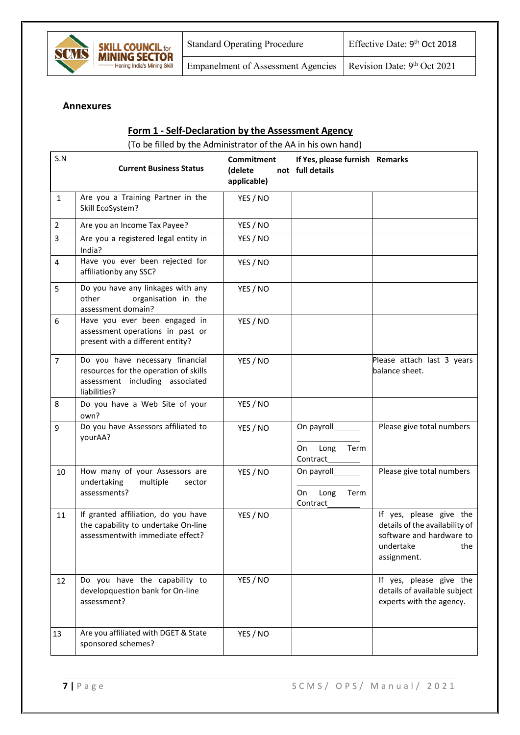

## **Annexures**

#### **Form 1 - Self-Declaration by the Assessment Agency**

(To be filled by the Administrator of the AA in his own hand)

| S.N            | <b>Current Business Status</b>                                                                                              | Commitment<br>(delete<br>applicable) | If Yes, please furnish Remarks<br>not full details   |                                                                                                                          |
|----------------|-----------------------------------------------------------------------------------------------------------------------------|--------------------------------------|------------------------------------------------------|--------------------------------------------------------------------------------------------------------------------------|
| $\mathbf{1}$   | Are you a Training Partner in the<br>Skill EcoSystem?                                                                       | YES / NO                             |                                                      |                                                                                                                          |
| $\overline{2}$ | Are you an Income Tax Payee?                                                                                                | YES / NO                             |                                                      |                                                                                                                          |
| 3              | Are you a registered legal entity in<br>India?                                                                              | YES / NO                             |                                                      |                                                                                                                          |
| 4              | Have you ever been rejected for<br>affiliationby any SSC?                                                                   | YES / NO                             |                                                      |                                                                                                                          |
| 5              | Do you have any linkages with any<br>other<br>organisation in the<br>assessment domain?                                     | YES / NO                             |                                                      |                                                                                                                          |
| 6              | Have you ever been engaged in<br>assessment operations in past or<br>present with a different entity?                       | YES / NO                             |                                                      |                                                                                                                          |
| $\overline{7}$ | Do you have necessary financial<br>resources for the operation of skills<br>assessment including associated<br>liabilities? | YES / NO                             |                                                      | Please attach last 3 years<br>balance sheet.                                                                             |
| 8              | Do you have a Web Site of your<br>own?                                                                                      | YES / NO                             |                                                      |                                                                                                                          |
| 9              | Do you have Assessors affiliated to<br>yourAA?                                                                              | YES / NO                             | On payroll_______<br>Long<br>Term<br>On<br>Contract_ | Please give total numbers                                                                                                |
| 10             | How many of your Assessors are<br>undertaking<br>multiple<br>sector<br>assessments?                                         | YES / NO                             | On payroll_______<br>Long<br>Term<br>On<br>Contract  | Please give total numbers                                                                                                |
| 11             | If granted affiliation, do you have<br>the capability to undertake On-line<br>assessmentwith immediate effect?              | YES / NO                             |                                                      | If yes, please give the<br>details of the availability of<br>software and hardware to<br>undertake<br>the<br>assignment. |
| 12             | Do you have the capability to<br>developquestion bank for On-line<br>assessment?                                            | YES / NO                             |                                                      | If yes, please give the<br>details of available subject<br>experts with the agency.                                      |
| 13             | Are you affiliated with DGET & State<br>sponsored schemes?                                                                  | YES / NO                             |                                                      |                                                                                                                          |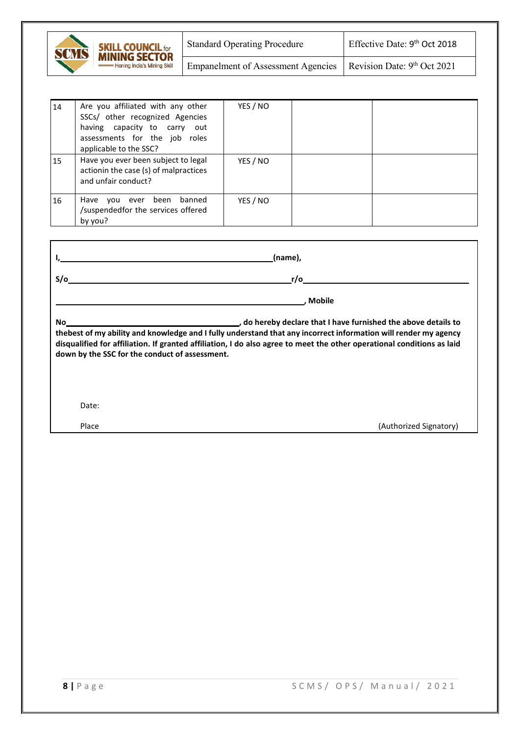| SCMS | <b>SKILL COUNCIL for</b><br><b>MINING SECTOR</b> | <b>Standard Operating Procedure</b>       | Effective Date: 9 <sup>th</sup> Oct 2018 |
|------|--------------------------------------------------|-------------------------------------------|------------------------------------------|
|      | - Honing India's Mining Skill                    | <b>Empanelment of Assessment Agencies</b> | Revision Date: $9th$ Oct 2021            |

| 14        | Are you affiliated with any other<br>SSCs/ other recognized Agencies<br>having capacity to carry out<br>assessments for the job roles<br>applicable to the SSC? | YES / NO |  |
|-----------|-----------------------------------------------------------------------------------------------------------------------------------------------------------------|----------|--|
| <b>15</b> | Have you ever been subject to legal<br>actionin the case (s) of malpractices<br>and unfair conduct?                                                             | YES / NO |  |
| 16        | Have<br>been<br>you ever<br>banned<br>/suspendedfor the services offered<br>by you?                                                                             | YES / NO |  |

|                                                                                                                                                                                                                                                                                                                                                                                                                      | (name),                |  |  |  |  |  |
|----------------------------------------------------------------------------------------------------------------------------------------------------------------------------------------------------------------------------------------------------------------------------------------------------------------------------------------------------------------------------------------------------------------------|------------------------|--|--|--|--|--|
| $S/\sigma$                                                                                                                                                                                                                                                                                                                                                                                                           | r/o                    |  |  |  |  |  |
|                                                                                                                                                                                                                                                                                                                                                                                                                      | . Mobile               |  |  |  |  |  |
| do hereby declare that I have furnished the above details to process to the control of the state of the state o<br>No<br>thebest of my ability and knowledge and I fully understand that any incorrect information will render my agency<br>disqualified for affiliation. If granted affiliation, I do also agree to meet the other operational conditions as laid<br>down by the SSC for the conduct of assessment. |                        |  |  |  |  |  |
| Date:                                                                                                                                                                                                                                                                                                                                                                                                                |                        |  |  |  |  |  |
| Place                                                                                                                                                                                                                                                                                                                                                                                                                | (Authorized Signatory) |  |  |  |  |  |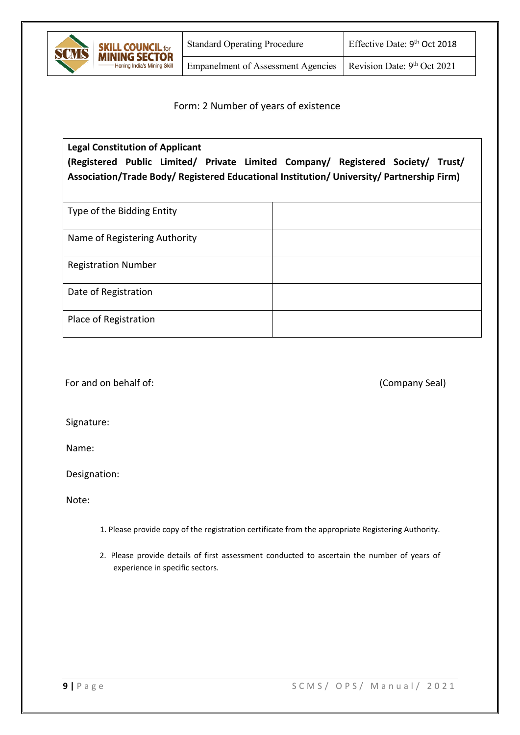

**SKILL COUNCIL for**<br>**MINING SECTOR** 

Honing India's Mining Skill

Empanelment of Assessment Agencies | Revision Date:  $9<sup>th</sup> Oct 2021$ 

#### Form: 2 Number of years of existence

# **Legal Constitution of Applicant (Registered Public Limited/ Private Limited Company/ Registered Society/ Trust/ Association/Trade Body/ Registered Educational Institution/ University/ Partnership Firm)**

| Type of the Bidding Entity    |  |
|-------------------------------|--|
| Name of Registering Authority |  |
| <b>Registration Number</b>    |  |
| Date of Registration          |  |
| Place of Registration         |  |

For and on behalf of:  $(Comparing: 1)$ 

Signature:

Name:

Designation:

Note:

- 1. Please provide copy of the registration certificate from the appropriate Registering Authority.
- 2. Please provide details of first assessment conducted to ascertain the number of years of experience in specific sectors.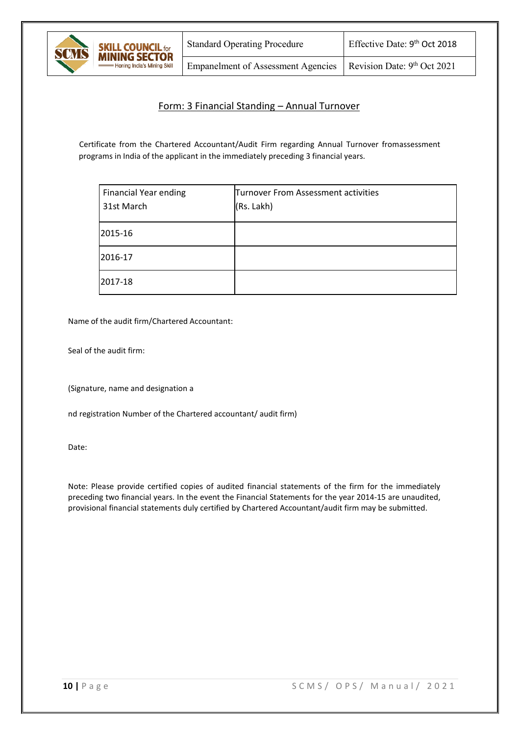

# Form: 3 Financial Standing – Annual Turnover

Certificate from the Chartered Accountant/Audit Firm regarding Annual Turnover fromassessment programs in India of the applicant in the immediately preceding 3 financial years.

| <b>Financial Year ending</b><br>31st March | Turnover From Assessment activities<br>(Rs. Lakh) |
|--------------------------------------------|---------------------------------------------------|
| 2015-16                                    |                                                   |
| 2016-17                                    |                                                   |
| 2017-18                                    |                                                   |

Name of the audit firm/Chartered Accountant:

Seal of the audit firm:

(Signature, name and designation a

nd registration Number of the Chartered accountant/ audit firm)

Date:

Note: Please provide certified copies of audited financial statements of the firm for the immediately preceding two financial years. In the event the Financial Statements for the year 2014-15 are unaudited, provisional financial statements duly certified by Chartered Accountant/audit firm may be submitted.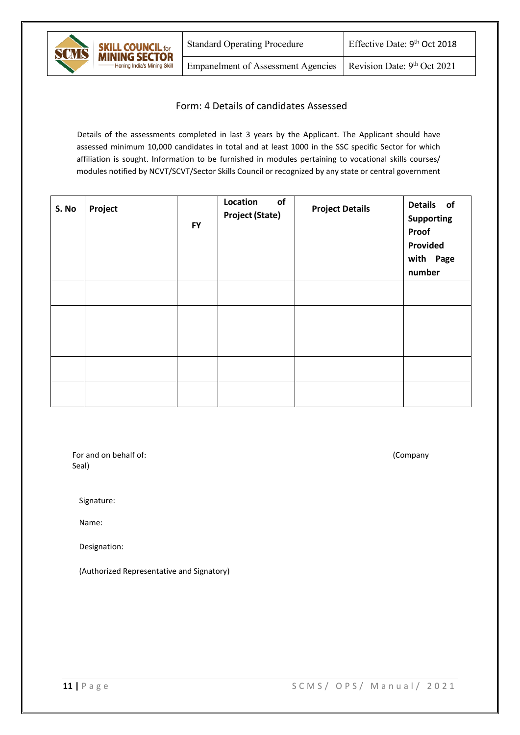

Empanelment of Assessment Agencies | Revision Date:  $9<sup>th</sup> Oct 2021$ 

#### Form: 4 Details of candidates Assessed

Details of the assessments completed in last 3 years by the Applicant. The Applicant should have assessed minimum 10,000 candidates in total and at least 1000 in the SSC specific Sector for which affiliation is sought. Information to be furnished in modules pertaining to vocational skills courses/ modules notified by NCVT/SCVT/Sector Skills Council or recognized by any state or central government

| S. No | Project | <b>FY</b> | of<br>Location<br><b>Project (State)</b> | <b>Project Details</b> | Details of<br><b>Supporting</b><br>Proof<br>Provided<br>with Page<br>number |
|-------|---------|-----------|------------------------------------------|------------------------|-----------------------------------------------------------------------------|
|       |         |           |                                          |                        |                                                                             |
|       |         |           |                                          |                        |                                                                             |
|       |         |           |                                          |                        |                                                                             |
|       |         |           |                                          |                        |                                                                             |
|       |         |           |                                          |                        |                                                                             |

For and on behalf of: (Company Seal)

Signature:

Name:

Designation:

(Authorized Representative and Signatory)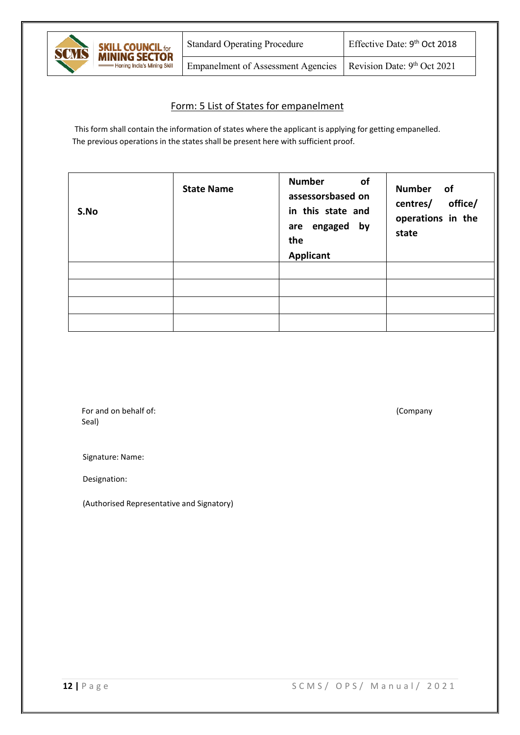

# Form: 5 List of States for empanelment

This form shall contain the information of states where the applicant is applying for getting empanelled. The previous operations in the states shall be present here with sufficient proof.

| S.No | <b>State Name</b> | <b>Number</b><br><b>of</b><br>assessorsbased on<br>in this state and<br>are engaged by<br>the<br><b>Applicant</b> | Number of<br>office/<br>centres/<br>operations in the<br>state |
|------|-------------------|-------------------------------------------------------------------------------------------------------------------|----------------------------------------------------------------|
|      |                   |                                                                                                                   |                                                                |
|      |                   |                                                                                                                   |                                                                |
|      |                   |                                                                                                                   |                                                                |
|      |                   |                                                                                                                   |                                                                |

For and on behalf of: (Company Seal)

Signature: Name:

Designation:

(Authorised Representative and Signatory)

**12 |** Page SCMS/ OPS / Manual/ 2021